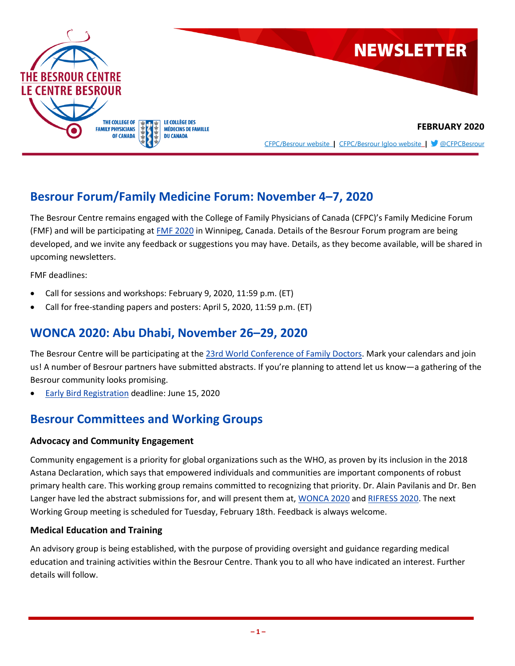

## **Besrour Forum/Family Medicine Forum: November 4–7, 2020**

The Besrour Centre remains engaged with the College of Family Physicians of Canada (CFPC)'s Family Medicine Forum (FMF) and will be participating at [FMF 2020](https://fmf.cfpc.ca/) in Winnipeg, Canada. Details of the Besrour Forum program are being developed, and we invite any feedback or suggestions you may have. Details, as they become available, will be shared in upcoming newsletters.

FMF deadlines:

- Call for sessions and workshops: February 9, 2020, 11:59 p.m. (ET)
- Call for free-standing papers and posters: April 5, 2020, 11:59 p.m. (ET)

### **WONCA 2020: Abu Dhabi, November 26–29, 2020**

The Besrour Centre will be participating at the 23rd [World Conference of Family Doctors.](http://wonca2020.com/) Mark your calendars and join us! A number of Besrour partners have submitted abstracts. If you're planning to attend let us know—a gathering of the Besrour community looks promising.

• [Early Bird Registration](http://wonca2020.com/online-registration/) deadline: June 15, 2020

### **Besrour Committees and Working Groups**

#### **Advocacy and Community Engagement**

Community engagement is a priority for global organizations such as the WHO, as proven by its inclusion in the 2018 Astana Declaration, which says that empowered individuals and communities are important components of robust primary health care. This working group remains committed to recognizing that priority. Dr. Alain Pavilanis and Dr. Ben Langer have led the abstract submissions for, and will present them at[, WONCA 2020](http://wonca2020.com/) an[d RIFRESS 2020.](https://rifress.org/) The next Working Group meeting is scheduled for Tuesday, February 18th. Feedback is always welcome.

#### **Medical Education and Training**

An advisory group is being established, with the purpose of providing oversight and guidance regarding medical education and training activities within the Besrour Centre. Thank you to all who have indicated an interest. Further details will follow.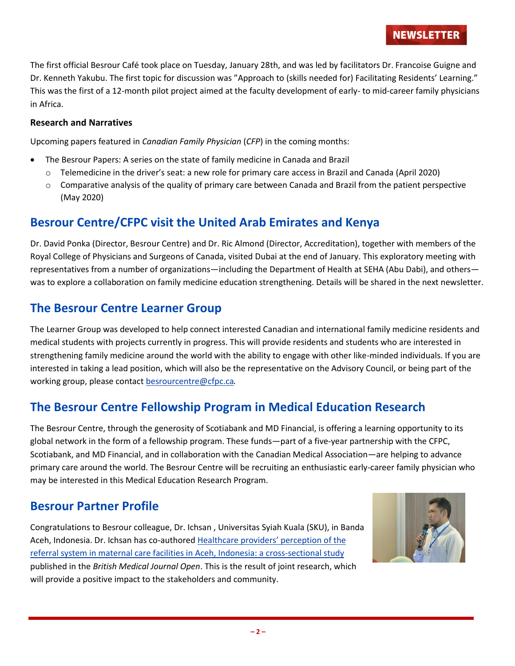The first official Besrour Café took place on Tuesday, January 28th, and was led by facilitators Dr. Francoise Guigne and Dr. Kenneth Yakubu. The first topic for discussion was "Approach to (skills needed for) Facilitating Residents' Learning." This was the first of a 12-month pilot project aimed at the faculty development of early- to mid-career family physicians in Africa.

#### **Research and Narratives**

Upcoming papers featured in *Canadian Family Physician* (*CFP*) in the coming months:

- The Besrour Papers: A series on the state of family medicine in Canada and Brazil
- o Telemedicine in the driver's seat: a new role for primary care access in Brazil and Canada (April 2020)
- o Comparative analysis of the quality of primary care between Canada and Brazil from the patient perspective (May 2020)

## **Besrour Centre/CFPC visit the United Arab Emirates and Kenya**

Dr. David Ponka (Director, Besrour Centre) and Dr. Ric Almond (Director, Accreditation), together with members of the Royal College of Physicians and Surgeons of Canada, visited Dubai at the end of January. This exploratory meeting with representatives from a number of organizations—including the Department of Health at SEHA (Abu Dabi), and others was to explore a collaboration on family medicine education strengthening. Details will be shared in the next newsletter.

## **The Besrour Centre Learner Group**

The Learner Group was developed to help connect interested Canadian and international family medicine residents and medical students with projects currently in progress. This will provide residents and students who are interested in strengthening family medicine around the world with the ability to engage with other like-minded individuals. If you are interested in taking a lead position, which will also be the representative on the Advisory Council, or being part of the working group, please contact [besrourcentre@cfpc.ca](mailto:besrourcentre@cfpc.ca).

## **The Besrour Centre Fellowship Program in Medical Education Research**

The Besrour Centre, through the generosity of Scotiabank and MD Financial, is offering a learning opportunity to its global network in the form of a fellowship program. These funds—part of a five-year partnership with the CFPC, Scotiabank, and MD Financial, and in collaboration with the Canadian Medical Association—are helping to advance primary care around the world. The Besrour Centre will be recruiting an enthusiastic early-career family physician who may be interested in this Medical Education Research Program.

## **Besrour Partner Profile**

Congratulations to Besrour colleague, Dr. Ichsan , Universitas Syiah Kuala (SKU), in Banda Aceh, Indonesia. Dr. Ichsan has co-authored [Healthcare providers' perception of the](https://bmjopen.bmj.com/content/9/12/e031484)  [referral system in maternal care facilities in Aceh, Indonesia: a cross-sectional study](https://bmjopen.bmj.com/content/9/12/e031484) published in the *British Medical Journal Open*. This is the result of joint research, which will provide a positive impact to the stakeholders and community.